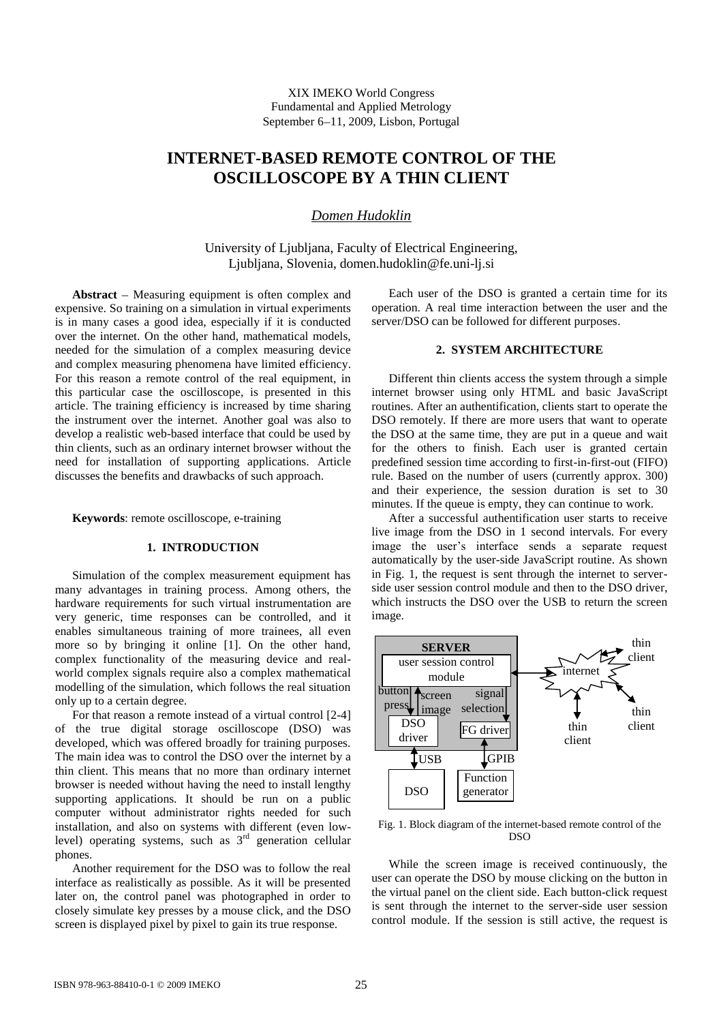XIX IMEKO World Congress Fundamental and Applied Metrology September 6-11, 2009, Lisbon, Portugal

# **INTERNET-BASED REMOTE CONTROL OF THE OSCILLOSCOPE BY A THIN CLIENT**

# *Domen Hudoklin*

University of Ljubljana, Faculty of Electrical Engineering, Ljubljana, Slovenia, domen.hudoklin@fe.uni-lj.si

**Abstract** – Measuring equipment is often complex and expensive. So training on a simulation in virtual experiments is in many cases a good idea, especially if it is conducted over the internet. On the other hand, mathematical models, needed for the simulation of a complex measuring device and complex measuring phenomena have limited efficiency. For this reason a remote control of the real equipment, in this particular case the oscilloscope, is presented in this article. The training efficiency is increased by time sharing the instrument over the internet. Another goal was also to develop a realistic web-based interface that could be used by thin clients, such as an ordinary internet browser without the need for installation of supporting applications. Article discusses the benefits and drawbacks of such approach.

**Keywords**: remote oscilloscope, e-training

## **1. INTRODUCTION**

Simulation of the complex measurement equipment has many advantages in training process. Among others, the hardware requirements for such virtual instrumentation are very generic, time responses can be controlled, and it enables simultaneous training of more trainees, all even more so by bringing it online [1]. On the other hand, complex functionality of the measuring device and realworld complex signals require also a complex mathematical modelling of the simulation, which follows the real situation only up to a certain degree.

For that reason a remote instead of a virtual control [2-4] of the true digital storage oscilloscope (DSO) was developed, which was offered broadly for training purposes. The main idea was to control the DSO over the internet by a thin client. This means that no more than ordinary internet browser is needed without having the need to install lengthy supporting applications. It should be run on a public computer without administrator rights needed for such installation, and also on systems with different (even lowlevel) operating systems, such as  $3<sup>rd</sup>$  generation cellular phones.

Another requirement for the DSO was to follow the real interface as realistically as possible. As it will be presented later on, the control panel was photographed in order to closely simulate key presses by a mouse click, and the DSO screen is displayed pixel by pixel to gain its true response.

Each user of the DSO is granted a certain time for its operation. A real time interaction between the user and the server/DSO can be followed for different purposes.

#### **2. SYSTEM ARCHITECTURE**

Different thin clients access the system through a simple internet browser using only HTML and basic JavaScript routines. After an authentification, clients start to operate the DSO remotely. If there are more users that want to operate the DSO at the same time, they are put in a queue and wait for the others to finish. Each user is granted certain predefined session time according to first-in-first-out (FIFO) rule. Based on the number of users (currently approx. 300) and their experience, the session duration is set to 30 minutes. If the queue is empty, they can continue to work.

After a successful authentification user starts to receive live image from the DSO in 1 second intervals. For every image the user's interface sends a separate request automatically by the user-side JavaScript routine. As shown in Fig. 1, the request is sent through the internet to serverside user session control module and then to the DSO driver, which instructs the DSO over the USB to return the screen image.



Fig. 1. Block diagram of the internet-based remote control of the DSO

While the screen image is received continuously, the user can operate the DSO by mouse clicking on the button in the virtual panel on the client side. Each button-click request is sent through the internet to the server-side user session control module. If the session is still active, the request is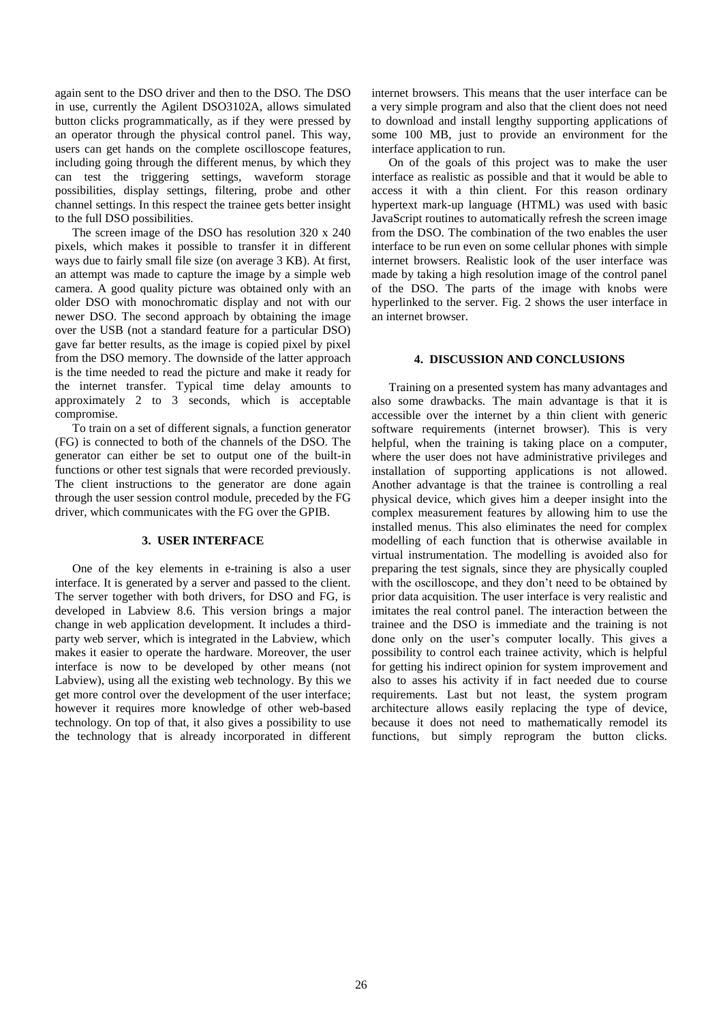again sent to the DSO driver and then to the DSO. The DSO in use, currently the Agilent DSO3102A, allows simulated button clicks programmatically, as if they were pressed by an operator through the physical control panel. This way, users can get hands on the complete oscilloscope features, including going through the different menus, by which they can test the triggering settings, waveform storage possibilities, display settings, filtering, probe and other channel settings. In this respect the trainee gets better insight to the full DSO possibilities.

The screen image of the DSO has resolution 320 x 240 pixels, which makes it possible to transfer it in different ways due to fairly small file size (on average 3 KB). At first, an attempt was made to capture the image by a simple web camera. A good quality picture was obtained only with an older DSO with monochromatic display and not with our newer DSO. The second approach by obtaining the image over the USB (not a standard feature for a particular DSO) gave far better results, as the image is copied pixel by pixel from the DSO memory. The downside of the latter approach is the time needed to read the picture and make it ready for the internet transfer. Typical time delay amounts to approximately 2 to 3 seconds, which is acceptable compromise.

To train on a set of different signals, a function generator (FG) is connected to both of the channels of the DSO. The generator can either be set to output one of the built-in functions or other test signals that were recorded previously. The client instructions to the generator are done again through the user session control module, preceded by the FG driver, which communicates with the FG over the GPIB.

### **3. USER INTERFACE**

One of the key elements in e-training is also a user interface. It is generated by a server and passed to the client. The server together with both drivers, for DSO and FG, is developed in Labview 8.6. This version brings a major change in web application development. It includes a thirdparty web server, which is integrated in the Labview, which makes it easier to operate the hardware. Moreover, the user interface is now to be developed by other means (not Labview), using all the existing web technology. By this we get more control over the development of the user interface; however it requires more knowledge of other web-based technology. On top of that, it also gives a possibility to use the technology that is already incorporated in different internet browsers. This means that the user interface can be a very simple program and also that the client does not need to download and install lengthy supporting applications of some 100 MB, just to provide an environment for the interface application to run.

On of the goals of this project was to make the user interface as realistic as possible and that it would be able to access it with a thin client. For this reason ordinary hypertext mark-up language (HTML) was used with basic JavaScript routines to automatically refresh the screen image from the DSO. The combination of the two enables the user interface to be run even on some cellular phones with simple internet browsers. Realistic look of the user interface was made by taking a high resolution image of the control panel of the DSO. The parts of the image with knobs were hyperlinked to the server. Fig. 2 shows the user interface in an internet browser.

## **4. DISCUSSION AND CONCLUSIONS**

Training on a presented system has many advantages and also some drawbacks. The main advantage is that it is accessible over the internet by a thin client with generic software requirements (internet browser). This is very helpful, when the training is taking place on a computer, where the user does not have administrative privileges and installation of supporting applications is not allowed. Another advantage is that the trainee is controlling a real physical device, which gives him a deeper insight into the complex measurement features by allowing him to use the installed menus. This also eliminates the need for complex modelling of each function that is otherwise available in virtual instrumentation. The modelling is avoided also for preparing the test signals, since they are physically coupled with the oscilloscope, and they don't need to be obtained by prior data acquisition. The user interface is very realistic and imitates the real control panel. The interaction between the trainee and the DSO is immediate and the training is not done only on the user's computer locally. This gives a possibility to control each trainee activity, which is helpful for getting his indirect opinion for system improvement and also to asses his activity if in fact needed due to course requirements. Last but not least, the system program architecture allows easily replacing the type of device, because it does not need to mathematically remodel its functions, but simply reprogram the button clicks.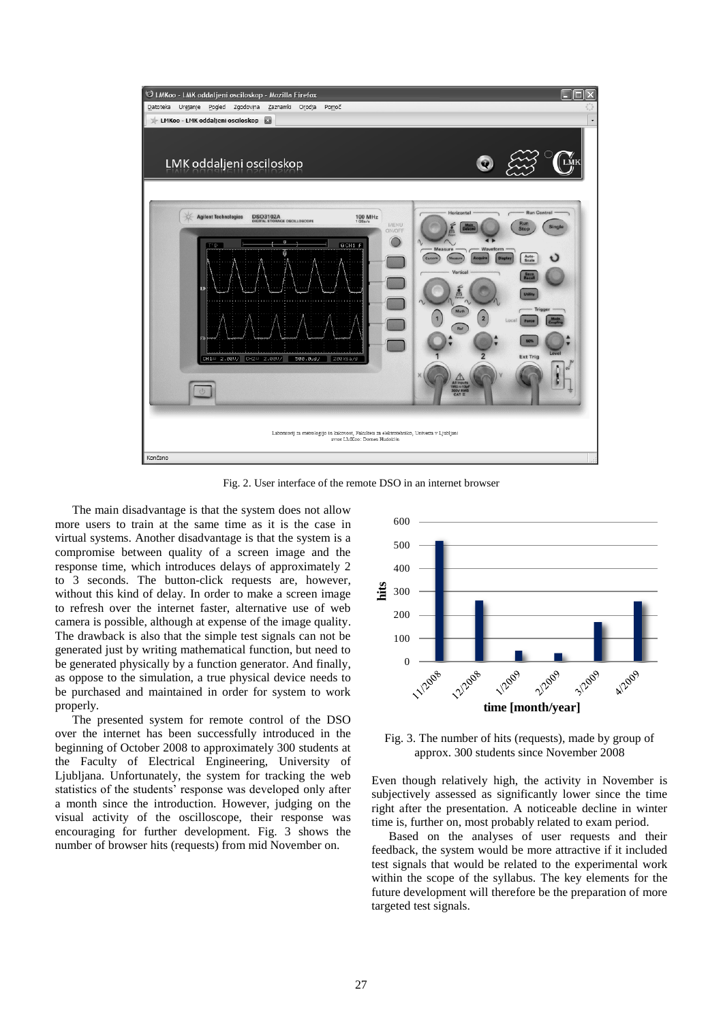

Fig. 2. User interface of the remote DSO in an internet browser

The main disadvantage is that the system does not allow more users to train at the same time as it is the case in virtual systems. Another disadvantage is that the system is a compromise between quality of a screen image and the response time, which introduces delays of approximately 2 to 3 seconds. The button-click requests are, however, without this kind of delay. In order to make a screen image to refresh over the internet faster, alternative use of web camera is possible, although at expense of the image quality. The drawback is also that the simple test signals can not be generated just by writing mathematical function, but need to be generated physically by a function generator. And finally, as oppose to the simulation, a true physical device needs to be purchased and maintained in order for system to work properly.

The presented system for remote control of the DSO over the internet has been successfully introduced in the beginning of October 2008 to approximately 300 students at the Faculty of Electrical Engineering, University of Ljubljana. Unfortunately, the system for tracking the web statistics of the students' response was developed only after a month since the introduction. However, judging on the visual activity of the oscilloscope, their response was encouraging for further development. Fig. 3 shows the number of browser hits (requests) from mid November on.



Fig. 3. The number of hits (requests), made by group of approx. 300 students since November 2008

Even though relatively high, the activity in November is subjectively assessed as significantly lower since the time right after the presentation. A noticeable decline in winter time is, further on, most probably related to exam period.

Based on the analyses of user requests and their feedback, the system would be more attractive if it included test signals that would be related to the experimental work within the scope of the syllabus. The key elements for the future development will therefore be the preparation of more targeted test signals.